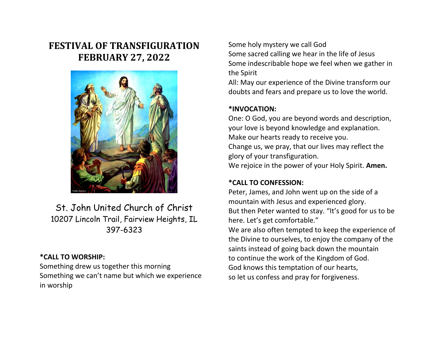# **FESTIVAL OF TRANSFIGURATION FEBRUARY 27, 2022**



St. John United Church of Christ 10207 Lincoln Trail, Fairview Heights, IL 397-6323

## **\*CALL TO WORSHIP:**

Something drew us together this morning Something we can't name but which we experience in worship

Some holy mystery we call God Some sacred calling we hear in the life of Jesus Some indescribable hope we feel when we gather in the Spirit

All: May our experience of the Divine transform our doubts and fears and prepare us to love the world.

# **\*INVOCATION:**

One: O God, you are beyond words and description, your love is beyond knowledge and explanation. Make our hearts ready to receive you. Change us, we pray, that our lives may reflect the glory of your transfiguration. We rejoice in the power of your Holy Spirit. **Amen.**

# **\*CALL TO CONFESSION:**

Peter, James, and John went up on the side of a mountain with Jesus and experienced glory. But then Peter wanted to stay. "It's good for us to be here. Let's get comfortable."

We are also often tempted to keep the experience of the Divine to ourselves, to enjoy the company of the saints instead of going back down the mountain to continue the work of the Kingdom of God. God knows this temptation of our hearts, so let us confess and pray for forgiveness.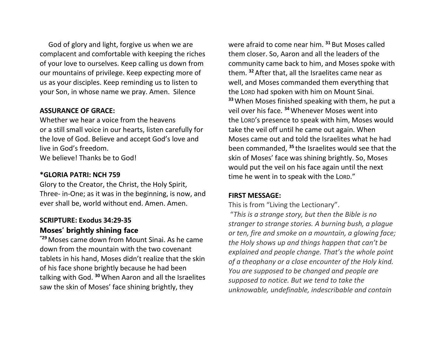God of glory and light, forgive us when we are complacent and comfortable with keeping the riches of your love to ourselves. Keep calling us down from our mountains of privilege. Keep expecting more of us as your disciples. Keep reminding us to listen to your Son, in whose name we pray. Amen.Silence

## **ASSURANCE OF GRACE:**

Whether we hear a voice from the heavens or a still small voice in our hearts, listen carefully for the love of God. Believe and accept God's love and live in God's freedom. We believe! Thanks be to God!

#### **\*GLORIA PATRI: NCH 759**

Glory to the Creator, the Christ, the Holy Spirit, Three- in-One; as it was in the beginning, is now, and ever shall be, world without end. Amen. Amen.

# **SCRIPTURE: Exodus 34:29-35 Moses' brightly shining face**

**"<sup>29</sup>** Moses came down from Mount Sinai. As he came down from the mountain with the two covenant tablets in his hand, Moses didn't realize that the skin of his face shone brightly because he had been talking with God. **<sup>30</sup>**When Aaron and all the Israelites saw the skin of Moses' face shining brightly, they

were afraid to come near him. **<sup>31</sup>** But Moses called them closer. So, Aaron and all the leaders of the community came back to him, and Moses spoke with them. **<sup>32</sup>** After that, all the Israelites came near as well, and Moses commanded them everything that the LORD had spoken with him on Mount Sinai. **<sup>33</sup>**When Moses finished speaking with them, he put a veil over his face. **<sup>34</sup>**Whenever Moses went into the LORD's presence to speak with him, Moses would take the veil off until he came out again. When Moses came out and told the Israelites what he had been commanded, **<sup>35</sup>** the Israelites would see that the skin of Moses' face was shining brightly. So, Moses would put the veil on his face again until the next time he went in to speak with the LORD."

## **FIRST MESSAGE:**

This is from "Living the Lectionary".

"*This is a strange story, but then the Bible is no stranger to strange stories. A burning bush, a plague or ten, fire and smoke on a mountain, a glowing face; the Holy shows up and things happen that can't be explained and people change. That's the whole point of a theophany or a close encounter of the Holy kind. You are supposed to be changed and people are supposed to notice. But we tend to take the unknowable, undefinable, indescribable and contain*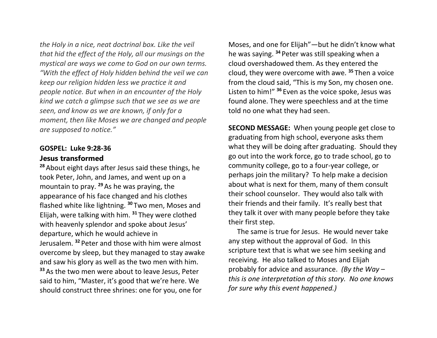*the Holy in a nice, neat doctrinal box. Like the veil that hid the effect of the Holy, all our musings on the mystical are ways we come to God on our own terms. "With the effect of Holy hidden behind the veil we can keep our religion hidden less we practice it and people notice. But when in an encounter of the Holy kind we catch a glimpse such that we see as we are seen, and know as we are known, if only for a moment, then like Moses we are changed and people are supposed to notice."*

## **GOSPEL: Luke 9:28-36 Jesus transformed**

**<sup>28</sup>** About eight days after Jesus said these things, he took Peter, John, and James, and went up on a mountain to pray. **<sup>29</sup>**As he was praying, the appearance of his face changed and his clothes flashed white like lightning. **<sup>30</sup>** Two men, Moses and Elijah, were talking with him. **<sup>31</sup>** They were clothed with heavenly splendor and spoke about Jesus' departure, which he would achieve in Jerusalem. **<sup>32</sup>** Peter and those with him were almost overcome by sleep, but they managed to stay awake and saw his glory as well as the two men with him. **<sup>33</sup>** As the two men were about to leave Jesus, Peter said to him, "Master, it's good that we're here. We should construct three shrines: one for you, one for

Moses, and one for Elijah"—but he didn't know what he was saying. **<sup>34</sup>** Peter was still speaking when a cloud overshadowed them. As they entered the cloud, they were overcome with awe. **<sup>35</sup>** Then a voice from the cloud said, "This is my Son, my chosen one. Listen to him!" **<sup>36</sup>** Even as the voice spoke, Jesus was found alone. They were speechless and at the time told no one what they had seen.

**SECOND MESSAGE:** When young people get close to graduating from high school, everyone asks them what they will be doing after graduating. Should they go out into the work force, go to trade school, go to community college, go to a four-year college, or perhaps join the military? To help make a decision about what is next for them, many of them consult their school counselor. They would also talk with their friends and their family. It's really best that they talk it over with many people before they take their first step.

 The same is true for Jesus. He would never take any step without the approval of God. In this scripture text that is what we see him seeking and receiving. He also talked to Moses and Elijah probably for advice and assurance. *(By the Way – this is one interpretation of this story. No one knows for sure why this event happened.)*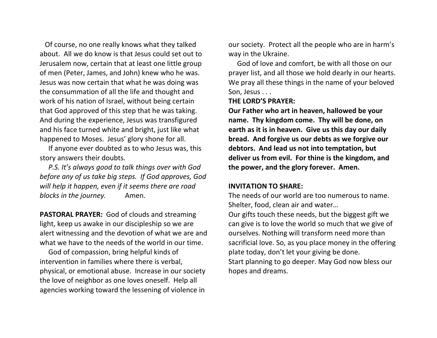Of course, no one really knows what they talked about. All we do know is that Jesus could set out to Jerusalem now, certain that at least one little group of men (Peter, James, and John) knew who he was. Jesus was now certain that what he was doing was the consummation of all the life and thought and work of his nation of Israel, without being certain that God approved of this step that he was taking. And during the experience, Jesus was transfigured and his face turned white and bright, just like what happened to Moses. Jesus' glory shone for all.

 If anyone ever doubted as to who Jesus was, this story answers their doubts.

 *P.S. It's always good to talk things over with God before any of us take big steps. If God approves, God will help it happen, even if it seems there are road blocks in the journey.* Amen.

**PASTORAL PRAYER:** God of clouds and streaming light, keep us awake in our discipleship so we are alert witnessing and the devotion of what we are and what we have to the needs of the world in our time.

 God of compassion, bring helpful kinds of intervention in families where there is verbal, physical, or emotional abuse. Increase in our society the love of neighbor as one loves oneself. Help all agencies working toward the lessening of violence in

our society. Protect all the people who are in harm's way in the Ukraine.

 God of love and comfort, be with all those on our prayer list, and all those we hold dearly in our hearts. We pray all these things in the name of your beloved Son, Jesus . . .

**THE LORD'S PRAYER:**

**Our Father who art in heaven, hallowed be your name. Thy kingdom come. Thy will be done, on earth as it is in heaven. Give us this day our daily bread. And forgive us our debts as we forgive our debtors. And lead us not into temptation, but deliver us from evil. For thine is the kingdom, and the power, and the glory forever. Amen.**

#### **INVITATION TO SHARE:**

The needs of our world are too numerous to name. Shelter, food, clean air and water…

Our gifts touch these needs, but the biggest gift we can give is to love the world so much that we give of ourselves. Nothing will transform need more than sacrificial love. So, as you place money in the offering plate today, don't let your giving be done. Start planning to go deeper. May God now bless our hopes and dreams.